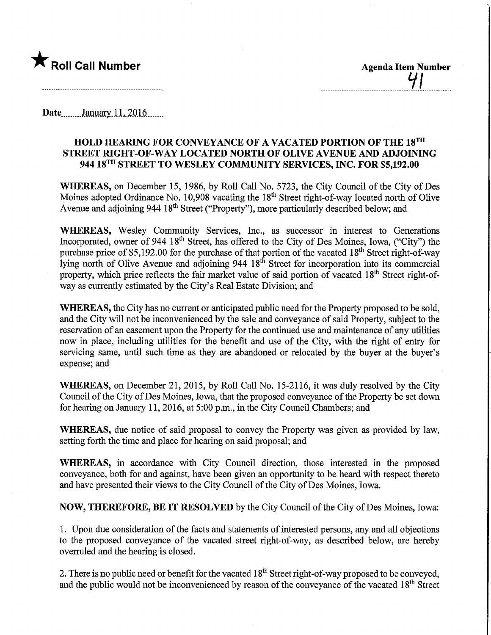

Date........January 11, 2016......

## HOLD HEARING FOR CONVEYANCE OF A VACATED PORTION OF THE 18™ STREET MGHT-OF-WAY LOCATED NORTH OF OLIVE AVENUE AND ADJOINING 944 18TH STREET TO WESLEY COMMUNITY SERVICES, INC. FOR \$5,192.00

WHEREAS, on December 15, 1986, by Roll Call No. 5723, the City Council of the City of Des Moines adopted Ordinance No. 10,908 vacating the  $18<sup>th</sup>$  Street right-of-way located north of Olive Avenue and adjoining 944 18<sup>th</sup> Street ("Property"), more particularly described below; and

WHEREAS, Wesley Community Services, Inc., as successor in interest to Generations Incorporated, owner of 944 18<sup>th</sup> Street, has offered to the City of Des Moines, Iowa, ("City") the purchase price of \$5,192.00 for the purchase of that portion of the vacated 18<sup>th</sup> Street right-of-way lying north of Olive Avenue and adjoining 944 18<sup>th</sup> Street for incorporation into its commercial property, which price reflects the fair market value of said portion of vacated  $18<sup>th</sup>$  Street right-ofway as currently estimated by the City's Real Estate Division; and

WHEREAS, the City has no current or anticipated public need for the Property proposed to be sold, and the City will not be inconvenienced by the sale and conveyance of said Property, subject to the reservation of an easement upon the Property for the continued use and maintenance of any utilities now in place, including utilities for the benefit and use of the City, with the right of entry for servicing same, until such time as they are abandoned or relocated by the buyer at the buyer's expense; and

WHEREAS, on December 21, 2015, by Roll Call No. 15-2116, it was duly resolved by the City Council of the City of Des Moines, Iowa, that the proposed conveyance of the Property be set down for hearing on January 11, 2016, at 5:00 p.m., in the City Council Chambers; and

WHEREAS, due notice of said proposal to convey the Property was given as provided by law, setting forth the time and place for hearing on said proposal; and

WHEREAS, in accordance with City Council direction, those interested in the proposed conveyance, both for and against, have been given an opportunity to be heard with respect thereto and have presented their views to the City Council of the City of Des Moines, Iowa.

NOW, THEREFORE, BE IT RESOLVED by the City Council of the City of Des Moines, Iowa:

1. Upon due consideration of the facts and statements of interested persons, any and all objections to the proposed conveyance of the vacated street right-of-way, as described below, are hereby overruled and the hearing is closed.

2. There is no public need or benefit for the vacated  $18<sup>th</sup>$  Street right-of-way proposed to be conveyed, and the public would not be inconvenienced by reason of the conveyance of the vacated  $18<sup>th</sup>$  Street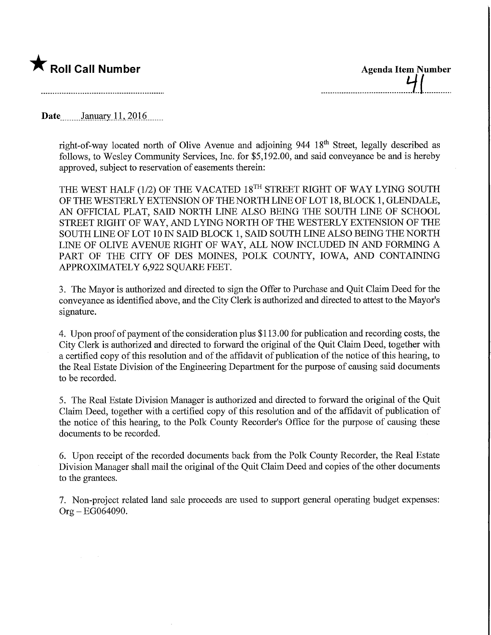

Date........January.l.L.2016.

right-of-way located north of Olive Avenue and adjoining 944 18th Street, legally described as follows, to Wesley Community Services, Inc. for \$5,192.00, and said conveyance be and is hereby approved, subject to reservation of easements therein:

THE WEST HALF (1/2) OF THE VACATED 18<sup>TH</sup> STREET RIGHT OF WAY LYING SOUTH OF THE WESTERLY EXTENSION OF THE NORTH LINE OF LOT 18, BLOCK 1, GLENDALE, AN OFFICIAL PLAT, SAID NORTH LINE ALSO BEING THE SOUTH LINE OF SCHOOL STREET RIGHT OF WAY, AND LYING NORTH OF THE WESTERLY EXTENSION OF THE SOUTH LINE OF LOT 10 IN SAID BLOCK 1, SAID SOUTH LINE ALSO BEING THE NORTH LINE OF OLIVE AVENUE RIGHT OF WAY, ALL NOW INCLUDED IN AND FORMING A PART OF THE CITY OF DES MOINES, POLK COUNTY, IOWA, AND CONTAINING APPROXIMATELY 6,922 SQUARE FEET.

3. The Mayor is authorized and directed to sign the Offer to Purchase and Quit Claim Deed for the conveyance as identified above, and the City Clerk is authorized and directed to attest to the Mayor's signature.

4. Upon proof of payment of the consideration plus \$113.00 for publication and recording costs, the City Clerk is authorized and directed to forward the original of the Quit Claim Deed, together with a certified copy of this resolution and of the affidavit of publication of the notice of this hearing, to the Real Estate Division of the Engineering Department for the purpose of causing said documents to be recorded.

5. The Real Estate Division Manager is authorized and directed to forward the original of the Quit Claim Deed, together with a certified copy of this resolution and of the affidavit of publication of the notice of this hearing, to the Polk County Recorder's Office for the purpose of causing these documents to be recorded.

6. Upon receipt of the recorded documents back from the Polk County Recorder, the Real Estate Division Manager shall mail the original of the Quit Claim Deed and copies of the other documents to the grantees.

7. Non-project related land sale proceeds are used to support general operating budget expenses: Org-EG064090.